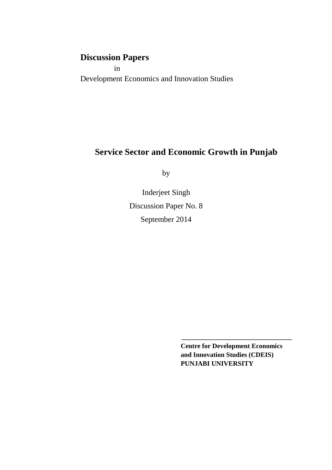# **Discussion Papers**

 in Development Economics and Innovation Studies

# **Service Sector and Economic Growth in Punjab**

by

Inderjeet Singh Discussion Paper No. 8 September 2014

> **Centre for Development Economics and Innovation Studies (CDEIS) PUNJABI UNIVERSITY**

**\_\_\_\_\_\_\_\_\_\_\_\_\_\_\_\_\_\_\_\_\_\_\_\_\_\_\_\_\_\_\_\_\_**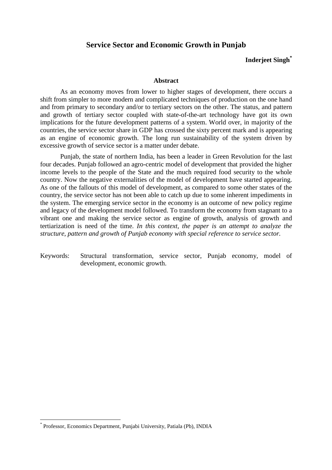## **Service Sector and Economic Growth in Punjab**

## **Inderjeet Singh\***

#### **Abstract**

As an economy moves from lower to higher stages of development, there occurs a shift from simpler to more modern and complicated techniques of production on the one hand and from primary to secondary and/or to tertiary sectors on the other. The status, and pattern and growth of tertiary sector coupled with state-of-the-art technology have got its own implications for the future development patterns of a system. World over, in majority of the countries, the service sector share in GDP has crossed the sixty percent mark and is appearing as an engine of economic growth. The long run sustainability of the system driven by excessive growth of service sector is a matter under debate.

Punjab, the state of northern India, has been a leader in Green Revolution for the last four decades. Punjab followed an agro-centric model of development that provided the higher income levels to the people of the State and the much required food security to the whole country. Now the negative externalities of the model of development have started appearing. As one of the fallouts of this model of development, as compared to some other states of the country, the service sector has not been able to catch up due to some inherent impediments in the system. The emerging service sector in the economy is an outcome of new policy regime and legacy of the development model followed. To transform the economy from stagnant to a vibrant one and making the service sector as engine of growth, analysis of growth and tertiarization is need of the time. *In this context, the paper is an attempt to analyze the structure, pattern and growth of Punjab economy with special reference to service sector.* 

Keywords: Structural transformation, service sector, Punjab economy, model of development, economic growth.

l

<sup>\*</sup> Professor, Economics Department, Punjabi University, Patiala (Pb), INDIA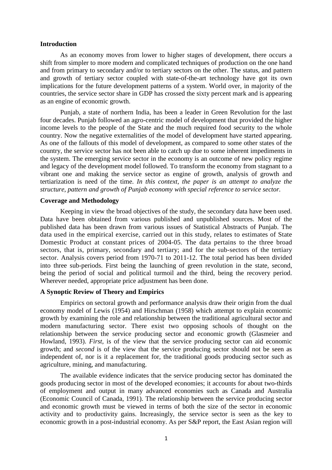#### **Introduction**

As an economy moves from lower to higher stages of development, there occurs a shift from simpler to more modern and complicated techniques of production on the one hand and from primary to secondary and/or to tertiary sectors on the other. The status, and pattern and growth of tertiary sector coupled with state-of-the-art technology have got its own implications for the future development patterns of a system. World over, in majority of the countries, the service sector share in GDP has crossed the sixty percent mark and is appearing as an engine of economic growth.

Punjab, a state of northern India, has been a leader in Green Revolution for the last four decades. Punjab followed an agro-centric model of development that provided the higher income levels to the people of the State and the much required food security to the whole country. Now the negative externalities of the model of development have started appearing. As one of the fallouts of this model of development, as compared to some other states of the country, the service sector has not been able to catch up due to some inherent impediments in the system. The emerging service sector in the economy is an outcome of new policy regime and legacy of the development model followed. To transform the economy from stagnant to a vibrant one and making the service sector as engine of growth, analysis of growth and tertiarization is need of the time. *In this context, the paper is an attempt to analyze the structure, pattern and growth of Punjab economy with special reference to service sector.* 

#### **Coverage and Methodology**

Keeping in view the broad objectives of the study, the secondary data have been used. Data have been obtained from various published and unpublished sources. Most of the published data has been drawn from various issues of Statistical Abstracts of Punjab. The data used in the empirical exercise, carried out in this study, relates to estimates of State Domestic Product at constant prices of 2004-05. The data pertains to the three broad sectors, that is, primary, secondary and tertiary; and for the sub-sectors of the tertiary sector. Analysis covers period from 1970-71 to 2011-12. The total period has been divided into three sub-periods. First being the launching of green revolution in the state, second, being the period of social and political turmoil and the third, being the recovery period. Wherever needed, appropriate price adjustment has been done.

### **A Synoptic Review of Theory and Empirics**

Empirics on sectoral growth and performance analysis draw their origin from the dual economy model of Lewis (1954) and Hirschman (1958) which attempt to explain economic growth by examining the role and relationship between the traditional agricultural sector and modern manufacturing sector. There exist two opposing schools of thought on the relationship between the service producing sector and economic growth (Glasmeier and Howland, 1993). *First,* is of the view that the service producing sector can aid economic growth; and *second* is of the view that the service producing sector should not be seen as independent of, nor is it a replacement for, the traditional goods producing sector such as agriculture, mining, and manufacturing.

The available evidence indicates that the service producing sector has dominated the goods producing sector in most of the developed economies; it accounts for about two-thirds of employment and output in many advanced economies such as Canada and Australia (Economic Council of Canada, 1991). The relationship between the service producing sector and economic growth must be viewed in terms of both the size of the sector in economic activity and to productivity gains. Increasingly, the service sector is seen as the key to economic growth in a post-industrial economy. As per S&P report, the East Asian region will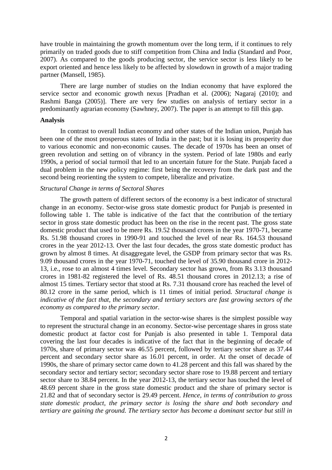have trouble in maintaining the growth momentum over the long term, if it continues to rely primarily on traded goods due to stiff competition from China and India (Standard and Poor, 2007). As compared to the goods producing sector, the service sector is less likely to be export oriented and hence less likely to be affected by slowdown in growth of a major trading partner (Mansell, 1985).

There are large number of studies on the Indian economy that have explored the service sector and economic growth nexus [Pradhan et al. (2006); Nagaraj (2010); and Rashmi Banga (2005)]. There are very few studies on analysis of tertiary sector in a predominantly agrarian economy (Sawhney, 2007). The paper is an attempt to fill this gap.

#### **Analysis**

In contrast to overall Indian economy and other states of the Indian union, Punjab has been one of the most prosperous states of India in the past; but it is losing its prosperity due to various economic and non-economic causes. The decade of 1970s has been an onset of green revolution and setting on of vibrancy in the system. Period of late 1980s and early 1990s, a period of social turmoil that led to an uncertain future for the State. Punjab faced a dual problem in the new policy regime: first being the recovery from the dark past and the second being reorienting the system to compete, liberalize and privatize.

#### *Structural Change in terms of Sectoral Shares*

The growth pattern of different sectors of the economy is a best indicator of structural change in an economy. Sector-wise gross state domestic product for Punjab is presented in following table 1. The table is indicative of the fact that the contribution of the tertiary sector in gross state domestic product has been on the rise in the recent past. The gross state domestic product that used to be mere Rs. 19.52 thousand crores in the year 1970-71, became Rs. 51.98 thousand crores in 1990-91 and touched the level of near Rs. 164.53 thousand crores in the year 2012-13. Over the last four decades, the gross state domestic product has grown by almost 8 times. At disaggregate level, the GSDP from primary sector that was Rs. 9.09 thousand crores in the year 1970-71, touched the level of 35.90 thousand crore in 2012- 13, i.e., rose to an almost 4 times level. Secondary sector has grown, from Rs 3.13 thousand crores in 1981-82 registered the level of Rs. 48.51 thousand crores in 2012.13; a rise of almost 15 times. Tertiary sector that stood at Rs. 7.31 thousand crore has reached the level of 80.12 crore in the same period, which is 11 times of initial period. *Structural change is indicative of the fact that, the secondary and tertiary sectors are fast growing sectors of the economy as compared to the primary sector.* 

Temporal and spatial variation in the sector-wise shares is the simplest possible way to represent the structural change in an economy. Sector-wise percentage shares in gross state domestic product at factor cost for Punjab is also presented in table 1. Temporal data covering the last four decades is indicative of the fact that in the beginning of decade of 1970s, share of primary sector was 46.55 percent, followed by tertiary sector share as 37.44 percent and secondary sector share as 16.01 percent, in order. At the onset of decade of 1990s, the share of primary sector came down to 41.28 percent and this fall was shared by the secondary sector and tertiary sector; secondary sector share rose to 19.88 percent and tertiary sector share to 38.84 percent. In the year 2012-13, the tertiary sector has touched the level of 48.69 percent share in the gross state domestic product and the share of primary sector is 21.82 and that of secondary sector is 29.49 percent. *Hence, in terms of contribution to gross state domestic product, the primary sector is losing the share and both secondary and tertiary are gaining the ground. The tertiary sector has become a dominant sector but still in*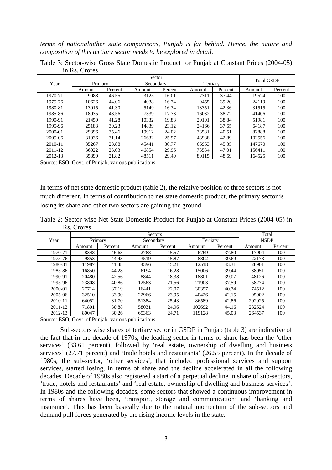*terms of national/other state comparisons, Punjab is far behind. Hence, the nature and composition of this tertiary sector needs to be explored in detail.* 

|             | Sector  |         |           |         |          |         | <b>Total GSDP</b> |         |
|-------------|---------|---------|-----------|---------|----------|---------|-------------------|---------|
| Year        | Primary |         | Secondary |         | Tertiary |         |                   |         |
|             | Amount  | Percent | Amount    | Percent | Amount   | Percent | Amount            | Percent |
| 1970-71     | 9088    | 46.55   | 3125      | 16.01   | 7311     | 37.44   | 19524             | 100     |
| 1975-76     | 10626   | 44.06   | 4038      | 16.74   | 9455     | 39.20   | 24119             | 100     |
| 1980-81     | 13015   | 41.30   | 5149      | 16.34   | 13351    | 42.36   | 31515             | 100     |
| 1985-86     | 18035   | 43.56   | 7339      | 17.73   | 16032    | 38.72   | 41406             | 100     |
| 1990-91     | 21459   | 41.28   | 10332     | 19.88   | 20191    | 38.84   | 51981             | 100     |
| 1995-96     | 25183   | 39.23   | 14839     | 23.12   | 24166    | 37.65   | 64187             | 100     |
| 2000-01     | 29396   | 35.46   | 19912     | 24.02   | 33581    | 40.51   | 82888             | 100     |
| 2005-06     | 31936   | 31.14   | 26632     | 25.97   | 43988    | 42.89   | 102556            | 100     |
| $2010 - 11$ | 35267   | 23.88   | 45441     | 30.77   | 66963    | 45.35   | 147670            | 100     |
| 2011-12     | 36022   | 23.03   | 46854     | 29.96   | 73534    | 47.01   | 156411            | 100     |
| 2012-13     | 35899   | 21.82   | 48511     | 29.49   | 80115    | 48.69   | 164525            | 100     |

Table 3: Sector-wise Gross State Domestic Product for Punjab at Constant Prices (2004-05) in Rs. Crores

Source: ESO, Govt. of Punjab, various publications.

In terms of net state domestic product (table 2), the relative position of three sectors is not much different. In terms of contribution to net state domestic product, the primary sector is losing its share and other two sectors are gaining the ground.

Table 2: Sector-wise Net State Domestic Product for Punjab at Constant Prices (2004-05) in Rs. Crores

|         | Sectors |         |           |         |        |          | Total  |             |  |
|---------|---------|---------|-----------|---------|--------|----------|--------|-------------|--|
| Year    | Primary |         | Secondary |         |        | Tertiary |        | <b>NSDP</b> |  |
|         | Amount  | Percent | Amount    | Percent | Amount | Percent  | Amount | Percent     |  |
| 1970-71 | 8348    | 46.63   | 2788      | 15.57   | 6769   | 37.80    | 17904  | 100         |  |
| 1975-76 | 9853    | 44.43   | 3519      | 15.87   | 8802   | 39.69    | 22173  | 100         |  |
| 1980-81 | 11987   | 41.48   | 4396      | 15.21   | 12518  | 43.31    | 28901  | 100         |  |
| 1985-86 | 16850   | 44.28   | 6194      | 16.28   | 15006  | 39.44    | 38051  | 100         |  |
| 1990-91 | 20480   | 42.56   | 8844      | 18.38   | 18801  | 39.07    | 48126  | 100         |  |
| 1995-96 | 23808   | 40.86   | 12563     | 21.56   | 21903  | 37.59    | 58274  | 100         |  |
| 2000-01 | 27714   | 37.19   | 16441     | 22.07   | 30357  | 40.74    | 74512  | 100         |  |
| 2005-06 | 32510   | 33.90   | 22966     | 23.95   | 40426  | 42.15    | 95902  | 100         |  |
| 2010-11 | 64052   | 31.70   | 51384     | 25.43   | 86589  | 42.86    | 202025 | 100         |  |
| 2011-12 | 71801   | 30.88   | 58031     | 24.96   | 102692 | 44.16    | 232524 | 100         |  |
| 2012-13 | 80047   | 30.26   | 65363     | 24.71   | 119128 | 45.03    | 264537 | 100         |  |

Source: ESO, Govt. of Punjab, various publications.

Sub-sectors wise shares of tertiary sector in GSDP in Punjab (table 3) are indicative of the fact that in the decade of 1970s, the leading sector in terms of share has been the 'other services' (33.61 percent), followed by 'real estate, ownership of dwelling and business services' (27.71 percent) and 'trade hotels and restaurants' (26.55 percent). In the decade of 1980s, the sub-sector, 'other services', that included professional services and support services, started losing, in terms of share and the decline accelerated in all the following decades. Decade of 1980s also registered a start of a perpetual decline in share of sub-sectors, 'trade, hotels and restaurants' and 'real estate, ownership of dwelling and business services'. In 1980s and the following decades, some sectors that showed a continuous improvement in terms of shares have been, 'transport, storage and communication' and 'banking and insurance'. This has been basically due to the natural momentum of the sub-sectors and demand pull forces generated by the rising income levels in the state.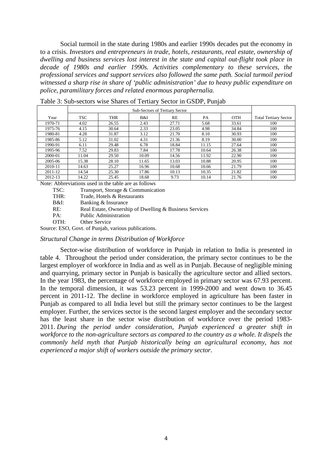Social turmoil in the state during 1980s and earlier 1990s decades put the economy in to a crisis. *Investors and entrepreneurs in trade, hotels, restaurants, real estate, ownership of dwelling and business services lost interest in the state and capital out-flight took place in decade of 1980s and earlier 1990s. Activities complementary to these services, the professional services and support services also followed the same path. Social turmoil period witnessed a sharp rise in share of 'public administration' due to heavy public expenditure on police, paramilitary forces and related enormous paraphernalia.* 

|         | <b>Sub-Sectors of Tertiary Sector</b> |            |       |       |           |            |                              |
|---------|---------------------------------------|------------|-------|-------|-----------|------------|------------------------------|
| Year    | <b>TSC</b>                            | <b>THR</b> | B&I   | RE    | <b>PA</b> | <b>OTH</b> | <b>Total Tertiary Sector</b> |
| 1970-71 | 4.02                                  | 26.55      | 2.43  | 27.71 | 5.68      | 33.61      | 100                          |
| 1975-76 | 4.15                                  | 30.64      | 2.33  | 23.05 | 4.98      | 34.84      | 100                          |
| 1980-81 | 4.28                                  | 31.87      | 3.12  | 21.70 | 8.10      | 30.93      | 100                          |
| 1985-86 | 5.12                                  | 31.02      | 4.31  | 21.36 | 8.19      | 30.00      | 100                          |
| 1990-91 | 6.11                                  | 29.48      | 6.78  | 18.84 | 11.15     | 27.64      | 100                          |
| 1995-96 | 7.52                                  | 29.83      | 7.84  | 17.78 | 10.64     | 26.38      | 100                          |
| 2000-01 | 11.04                                 | 29.50      | 10.09 | 14.56 | 11.92     | 22.90      | 100                          |
| 2005-06 | 15.38                                 | 28.10      | 11.65 | 13.03 | 10.88     | 20.95      | 100                          |
| 2010-11 | 14.63                                 | 25.27      | 16.96 | 10.68 | 10.66     | 21.79      | 100                          |
| 2011-12 | 14.54                                 | 25.30      | 17.86 | 10.13 | 10.35     | 21.82      | 100                          |
| 2012-13 | 14.22                                 | 25.45      | 18.68 | 9.73  | 10.14     | 21.76      | 100                          |

Table 3: Sub-sectors wise Shares of Tertiary Sector in GSDP, Punjab

Note: Abbreviations used in the table are as follows

TSC: Transport, Storage & Communication

THR: Trade, Hotels & Restaurants

B&I: Banking & Insurance

RE: Real Estate, Ownership of Dwelling & Business Services

PA: Public Administration

OTH: Other Service

Source: ESO, Govt. of Punjab, various publications.

#### *Structural Change in terms Distribution of Workforce*

Sector-wise distribution of workforce in Punjab in relation to India is presented in table 4. Throughout the period under consideration, the primary sector continues to be the largest employer of workforce in India and as well as in Punjab. Because of negligible mining and quarrying, primary sector in Punjab is basically the agriculture sector and allied sectors. In the year 1983, the percentage of workforce employed in primary sector was 67.93 percent. In the temporal dimension, it was 53.23 percent in 1999-2000 and went down to 36.45 percent in 2011-12. The decline in workforce employed in agriculture has been faster in Punjab as compared to all India level but still the primary sector continues to be the largest employer. Further, the services sector is the second largest employer and the secondary sector has the least share in the sector wise distribution of workforce over the period 1983- 2011. *During the period under consideration, Punjab experienced a greater shift in workforce to the non-agriculture sectors as compared to the country as a whole. It dispels the commonly held myth that Punjab historically being an agricultural economy, has not experienced a major shift of workers outside the primary sector.*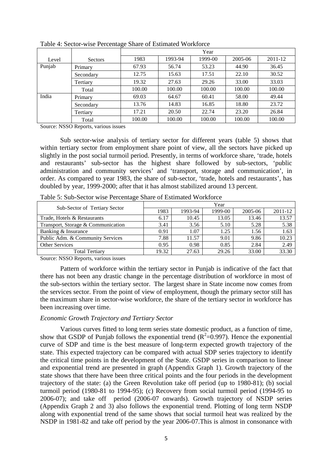|        |                | ັ<br>Year |         |         |         |         |  |
|--------|----------------|-----------|---------|---------|---------|---------|--|
| Level  | <b>Sectors</b> | 1983      | 1993-94 | 1999-00 | 2005-06 | 2011-12 |  |
| Punjab | Primary        | 67.93     | 56.74   | 53.23   | 44.90   | 36.45   |  |
|        | Secondary      | 12.75     | 15.63   | 17.51   | 22.10   | 30.52   |  |
|        | Tertiary       | 19.32     | 27.63   | 29.26   | 33.00   | 33.03   |  |
|        | Total          | 100.00    | 100.00  | 100.00  | 100.00  | 100.00  |  |
| India  | Primary        | 69.03     | 64.67   | 60.41   | 58.00   | 49.44   |  |
|        | Secondary      | 13.76     | 14.83   | 16.85   | 18.80   | 23.72   |  |
|        | Tertiary       | 17.21     | 20.50   | 22.74   | 23.20   | 26.84   |  |
|        | Total          | 100.00    | 100.00  | 100.00  | 100.00  | 100.00  |  |

Table 4: Sector-wise Percentage Share of Estimated Workforce

Source: NSSO Reports, various issues

Sub sector-wise analysis of tertiary sector for different years (table 5) shows that within tertiary sector from employment share point of view, all the sectors have picked up slightly in the post social turmoil period. Presently, in terms of workforce share, 'trade, hotels and restaurants' sub-sector has the highest share followed by sub-sectors, 'public administration and community services' and 'transport, storage and communication', in order. As compared to year 1983, the share of sub-sector, 'trade, hotels and restaurants', has doubled by year, 1999-2000; after that it has almost stabilized around 13 percent.

|                                    | Year  |         |         |         |         |  |
|------------------------------------|-------|---------|---------|---------|---------|--|
| Sub-Sector of Tertiary Sector      | 1983  | 1993-94 | 1999-00 | 2005-06 | 2011-12 |  |
| Trade, Hotels & Restaurants        | 6.17  | 10.45   | 13.05   | 13.46   | 13.57   |  |
| Transport, Storage & Communication | 3.41  | 3.56    | 5.10    | 5.28    | 5.38    |  |
| Banking & Insurance                | 0.91  | .07     | 1.25    | 1.56    | 1.63    |  |
| Public Adm. & Community Services   | 7.88  | 11.57   | 9.01    | 9.86    | 10.23   |  |
| <b>Other Services</b>              | 0.95  | 0.98    | 0.85    | 2.84    | 2.49    |  |
| <b>Total Tertiary</b>              | 19.32 | 27.63   | 29.26   | 33.00   | 33.30   |  |

Table 5: Sub-Sector wise Percentage Share of Estimated Workforce

Source: NSSO Reports, various issues

Pattern of workforce within the tertiary sector in Punjab is indicative of the fact that there has not been any drastic change in the percentage distribution of workforce in most of the sub-sectors within the tertiary sector. The largest share in State income now comes from the services sector. From the point of view of employment, though the primary sector still has the maximum share in sector-wise workforce, the share of the tertiary sector in workforce has been increasing over time.

#### *Economic Growth Trajectory and Tertiary Sector*

Various curves fitted to long term series state domestic product, as a function of time, show that GSDP of Punjab follows the exponential trend  $(R^2=0.997)$ . Hence the exponential curve of SDP and time is the best measure of long-term expected growth trajectory of the state. This expected trajectory can be compared with actual SDP series trajectory to identify the critical time points in the development of the State. GSDP series in comparison to linear and exponential trend are presented in graph (Appendix Graph 1). Growth trajectory of the state shows that there have been three critical points and the four periods in the development trajectory of the state: (a) the Green Revolution take off period (up to 1980-81); (b) social turmoil period (1980-81 to 1994-95); (c) Recovery from social turmoil period (1994-95 to 2006-07); and take off period (2006-07 onwards). Growth trajectory of NSDP series (Appendix Graph 2 and 3) also follows the exponential trend. Plotting of long term NSDP along with exponential trend of the same shows that social turmoil heat was realized by the NSDP in 1981-82 and take off period by the year 2006-07.This is almost in consonance with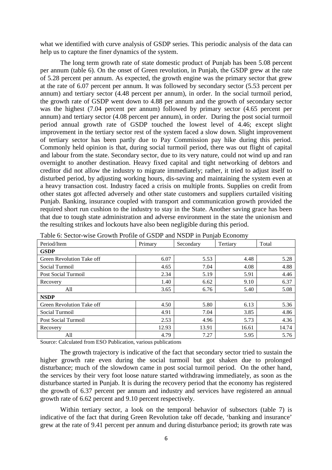what we identified with curve analysis of GSDP series. This periodic analysis of the data can help us to capture the finer dynamics of the system.

The long term growth rate of state domestic product of Punjab has been 5.08 percent per annum (table 6). On the onset of Green revolution, in Punjab, the GSDP grew at the rate of 5.28 percent per annum. As expected, the growth engine was the primary sector that grew at the rate of 6.07 percent per annum. It was followed by secondary sector (5.53 percent per annum) and tertiary sector (4.48 percent per annum), in order. In the social turmoil period, the growth rate of GSDP went down to 4.88 per annum and the growth of secondary sector was the highest (7.04 percent per annum) followed by primary sector (4.65 percent per annum) and tertiary sector (4.08 percent per annum), in order. During the post social turmoil period annual growth rate of GSDP touched the lowest level of 4.46; except slight improvement in the tertiary sector rest of the system faced a slow down. Slight improvement of tertiary sector has been partly due to Pay Commission pay hike during this period. Commonly held opinion is that, during social turmoil period, there was out flight of capital and labour from the state. Secondary sector, due to its very nature, could not wind up and ran overnight to another destination. Heavy fixed capital and tight networking of debtors and creditor did not allow the industry to migrate immediately; rather, it tried to adjust itself to disturbed period, by adjusting working hours, dis-saving and maintaining the system even at a heavy transaction cost. Industry faced a crisis on multiple fronts. Supplies on credit from other states got affected adversely and other state customers and suppliers curtailed visiting Punjab. Banking, insurance coupled with transport and communication growth provided the required short run cushion to the industry to stay in the State. Another saving grace has been that due to tough state administration and adverse environment in the state the unionism and the resulting strikes and lockouts have also been negligible during this period.

| Period/Item               | Primary | J<br>Secondary | ╯<br>Tertiary | Total |
|---------------------------|---------|----------------|---------------|-------|
| <b>GSDP</b>               |         |                |               |       |
| Green Revolution Take off | 6.07    | 5.53           | 4.48          | 5.28  |
| Social Turmoil            | 4.65    | 7.04           | 4.08          | 4.88  |
| Post Social Turmoil       | 2.34    | 5.19           | 5.91          | 4.46  |
| Recovery                  | 1.40    | 6.62           | 9.10          | 6.37  |
| All                       | 3.65    | 6.76           | 5.40          | 5.08  |
| <b>NSDP</b>               |         |                |               |       |
| Green Revolution Take off | 4.50    | 5.80           | 6.13          | 5.36  |
| Social Turmoil            | 4.91    | 7.04           | 3.85          | 4.86  |
| Post Social Turmoil       | 2.53    | 4.96           | 5.73          | 4.36  |
| Recovery                  | 12.93   | 13.91          | 16.61         | 14.74 |
| All                       | 4.79    | 7.27           | 5.95          | 5.76  |

Table 6: Sector-wise Growth Profile of GSDP and NSDP in Punjab Economy

Source: Calculated from ESO Publication, various publications

The growth trajectory is indicative of the fact that secondary sector tried to sustain the higher growth rate even during the social turmoil but got shaken due to prolonged disturbance; much of the slowdown came in post social turmoil period. On the other hand, the services by their very foot loose nature started withdrawing immediately, as soon as the disturbance started in Punjab. It is during the recovery period that the economy has registered the growth of 6.37 percent per annum and industry and services have registered an annual growth rate of 6.62 percent and 9.10 percent respectively.

Within tertiary sector, a look on the temporal behavior of subsectors (table 7) is indicative of the fact that during Green Revolution take off decade, 'banking and insurance' grew at the rate of 9.41 percent per annum and during disturbance period; its growth rate was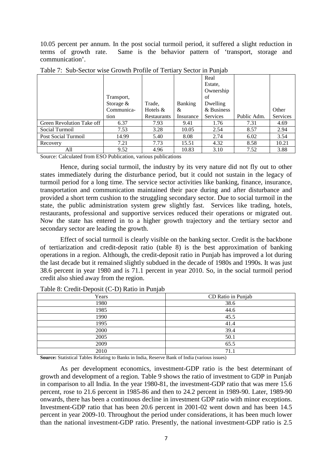10.05 percent per annum. In the post social turmoil period, it suffered a slight reduction in terms of growth rate. Same is the behavior pattern of 'transport, storage and communication'.

|                           |             |             |                | Real            |             |          |
|---------------------------|-------------|-------------|----------------|-----------------|-------------|----------|
|                           |             |             |                | Estate,         |             |          |
|                           |             |             |                | Ownership       |             |          |
|                           | Transport,  |             |                | of              |             |          |
|                           | Storage $&$ | Trade,      | <b>Banking</b> | Dwelling        |             |          |
|                           | Communica-  | Hotels $&$  | &              | & Business      |             | Other    |
|                           | tion        | Restaurants | Insurance      | <b>Services</b> | Public Adm. | Services |
| Green Revolution Take off | 6.37        | 7.93        | 9.41           | 1.76            | 7.31        | 4.69     |
| Social Turmoil            | 7.53        | 3.28        | 10.05          | 2.54            | 8.57        | 2.94     |
| Post Social Turmoil       | 14.99       | 5.40        | 8.08           | 2.74            | 6.02        | 3.54     |
| Recovery                  | 7.21        | 7.73        | 15.51          | 4.32            | 8.58        | 10.21    |
| All                       | 9.52        | 4.96        | 10.83          | 3.10            | 7.52        | 3.88     |

Table 7: Sub-Sector wise Growth Profile of Tertiary Sector in Punjab

Source: Calculated from ESO Publication, various publications

Hence, during social turmoil, the industry by its very nature did not fly out to other states immediately during the disturbance period, but it could not sustain in the legacy of turmoil period for a long time. The service sector activities like banking, finance, insurance, transportation and communication maintained their pace during and after disturbance and provided a short term cushion to the struggling secondary sector. Due to social turmoil in the state, the public administration system grew slightly fast. Services like trading, hotels, restaurants, professional and supportive services reduced their operations or migrated out. Now the state has entered in to a higher growth trajectory and the tertiary sector and secondary sector are leading the growth.

 Effect of social turmoil is clearly visible on the banking sector. Credit is the backbone of tertiarization and credit-deposit ratio (table 8) is the best approximation of banking operations in a region. Although, the credit-deposit ratio in Punjab has improved a lot during the last decade but it remained slightly subdued in the decade of 1980s and 1990s. It was just 38.6 percent in year 1980 and is 71.1 percent in year 2010. So, in the social turmoil period credit also shied away from the region.

| Years | CD Ratio in Punjab |
|-------|--------------------|
| 1980  | 38.6               |
| 1985  | 44.6               |
| 1990  | 45.5               |
| 1995  | 41.4               |
| 2000  | 39.4               |
| 2005  | 50.1               |
| 2009  | 65.5               |
| 2010  | 71.1               |

Table 8: Credit-Deposit (C-D) Ratio in Punjab

**Source:** Statistical Tables Relating to Banks in India, Reserve Bank of India (various issues)

As per development economics, investment-GDP ratio is the best determinant of growth and development of a region. Table 9 shows the ratio of investment to GDP in Punjab in comparison to all India. In the year 1980-81, the investment-GDP ratio that was mere 15.6 percent, rose to 21.6 percent in 1985-86 and then to 24.2 percent in 1989-90. Later, 1989-90 onwards, there has been a continuous decline in investment GDP ratio with minor exceptions. Investment-GDP ratio that has been 20.6 percent in 2001-02 went down and has been 14.5 percent in year 2009-10. Throughout the period under considerations, it has been much lower than the national investment-GDP ratio. Presently, the national investment-GDP ratio is 2.5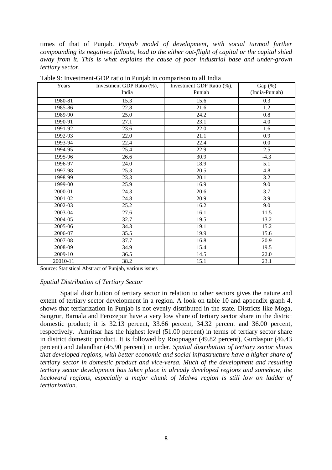times of that of Punjab. *Punjab model of development, with social turmoil further compounding its negatives fallouts, lead to the either out-flight of capital or the capital shied away from it. This is what explains the cause of poor industrial base and under-grown tertiary sector.*

| Years    | Investment GDP Ratio (%),<br>India | Investment GDP Ratio (%),<br>Punjab | Gap (%)<br>(India-Punjab) |
|----------|------------------------------------|-------------------------------------|---------------------------|
| 1980-81  | 15.3                               | 15.6                                | 0.3                       |
| 1985-86  | 22.8                               | 21.6                                | 1.2                       |
| 1989-90  | 25.0                               | 24.2                                | 0.8                       |
| 1990-91  | 27.1                               | 23.1                                | 4.0                       |
| 1991-92  | 23.6                               | 22.0                                | 1.6                       |
| 1992-93  | $\overline{22.0}$                  | 21.1                                | 0.9                       |
| 1993-94  | 22.4                               | 22.4                                | 0.0                       |
| 1994-95  | 25.4                               | 22.9                                | 2.5                       |
| 1995-96  | 26.6                               | 30.9                                | $-4.3$                    |
| 1996-97  | 24.0                               | 18.9                                | 5.1                       |
| 1997-98  | 25.3                               | 20.5                                | 4.8                       |
| 1998-99  | 23.3                               | 20.1                                | 3.2                       |
| 1999-00  | 25.9                               | 16.9                                | 9.0                       |
| 2000-01  | 24.3                               | 20.6                                | 3.7                       |
| 2001-02  | 24.8                               | 20.9                                | 3.9                       |
| 2002-03  | 25.2                               | 16.2                                | 9.0                       |
| 2003-04  | 27.6                               | 16.1                                | 11.5                      |
| 2004-05  | 32.7                               | 19.5                                | 13.2                      |
| 2005-06  | 34.3                               | 19.1                                | 15.2                      |
| 2006-07  | 35.5                               | 19.9                                | 15.6                      |
| 2007-08  | 37.7                               | 16.8                                | 20.9                      |
| 2008-09  | 34.9                               | 15.4                                | 19.5                      |
| 2009-10  | 36.5                               | 14.5                                | 22.0                      |
| 20010-11 | 38.2                               | 15.1                                | 23.1                      |

Table 9: Investment-GDP ratio in Punjab in comparison to all India

Source: Statistical Abstract of Punjab, various issues

#### *Spatial Distribution of Tertiary Sector*

Spatial distribution of tertiary sector in relation to other sectors gives the nature and extent of tertiary sector development in a region. A look on table 10 and appendix graph 4, shows that tertiarization in Punjab is not evenly distributed in the state. Districts like Moga, Sangrur, Barnala and Ferozepur have a very low share of tertiary sector share in the district domestic product; it is 32.13 percent, 33.66 percent, 34.32 percent and 36.00 percent, respectively. Amritsar has the highest level (51.00 percent) in terms of tertiary sector share in district domestic product. It is followed by Roopnagar (49.82 percent), Gurdaspur (46.43 percent) and Jalandhar (45.90 percent) in order. *Spatial distribution of tertiary sector shows that developed regions, with better economic and social infrastructure have a higher share of tertiary sector in domestic product and vice-versa. Much of the development and resulting tertiary sector development has taken place in already developed regions and somehow, the backward regions, especially a major chunk of Malwa region is still low on ladder of tertiarization.*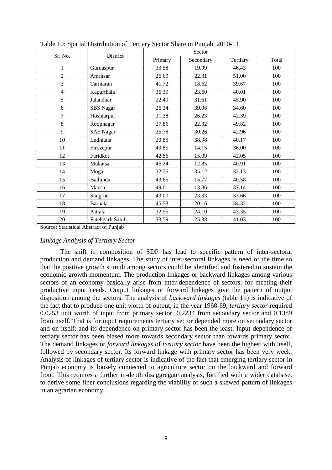|                |                  |         | Sector    |          |       |  |  |
|----------------|------------------|---------|-----------|----------|-------|--|--|
| Sr. No.        | District         | Primary | Secondary | Tertiary | Total |  |  |
| 1              | Gurdaspur        | 33.58   | 19.99     | 46.43    | 100   |  |  |
| $\overline{2}$ | Amritsar         | 26.69   | 22.31     | 51.00    | 100   |  |  |
| 3              | Tarntaran        | 41.72   | 18.62     | 39.67    | 100   |  |  |
| $\overline{4}$ | Kapurthala       | 36.39   | 23.60     | 40.01    | 100   |  |  |
| 5              | Jalandhar        | 22.49   | 31.61     | 45.90    | 100   |  |  |
| 6              | <b>SBS</b> Nagar | 26.34   | 39.06     | 34.60    | 100   |  |  |
| 7              | Hoshiarpur       | 31.38   | 26.23     | 42.39    | 100   |  |  |
| 8              | Roopnagar        | 27.86   | 22.32     | 49.82    | 100   |  |  |
| 9              | <b>SAS Nagar</b> | 26.78   | 30.26     | 42.96    | 100   |  |  |
| 10             | Ludhiana         | 20.85   | 38.98     | 40.17    | 100   |  |  |
| 11             | Firozepur        | 49.85   | 14.15     | 36.00    | 100   |  |  |
| 12             | Faridkot         | 42.86   | 15.09     | 42.05    | 100   |  |  |
| 13             | Mukatsar         | 46.24   | 12.85     | 40.91    | 100   |  |  |
| 14             | Moga             | 32.75   | 35.12     | 32.13    | 100   |  |  |
| 15             | Bathinda         | 43.65   | 15.77     | 40.58    | 100   |  |  |
| 16             | Mansa            | 49.01   | 13.86     | 37.14    | 100   |  |  |
| 17             | Sangrur          | 43.00   | 23.33     | 33.66    | 100   |  |  |
| 18             | Barnala          | 45.53   | 20.16     | 34.32    | 100   |  |  |
| 19             | Patiala          | 32.55   | 24.10     | 43.35    | 100   |  |  |
| 20             | Fatehgarh Sahib  | 33.59   | 25.38     | 41.03    | 100   |  |  |

Table 10: Spatial Distribution of Tertiary Sector Share in Punjab, 2010-11

Source: Statistical Abstract of Punjab

#### *Linkage Analysis of Tertiary Sector*

The shift in composition of SDP has lead to specific pattern of inter-sectoral production and demand linkages. The study of inter-sectoral linkages is need of the time so that the positive growth stimuli among sectors could be identified and fostered to sustain the economic growth momentum. The production linkages or backward linkages among various sectors of an economy basically arise from inter-dependence of sectors, for meeting their productive input needs. Output linkages or forward linkages give the pattern of output disposition among the sectors. The analysis of *backward linkages* (table 11) is indicative of the fact that to produce one unit worth of output, in the year 1968-69, *tertiary sector* required 0.0253 unit worth of input from primary sector, 0.2234 from secondary sector and 0.1389 from itself. That is for input requirements tertiary sector depended more on secondary sector and on itself; and its dependence on primary sector has been the least. Input dependence of tertiary sector has been biased more towards secondary sector than towards primary sector. The demand linkages or *forward linkages* of *tertiary sector* have been the highest with itself, followed by secondary sector. Its forward linkage with primary sector has been very week. Analysis of linkages of tertiary sector is indicative of the fact that emerging tertiary sector in Punjab economy is loosely connected to agriculture sector on the backward and forward front. This requires a further in-depth disaggregate analysis, fortified with a wider database, to derive some finer conclusions regarding the viability of such a skewed pattern of linkages in an agrarian economy.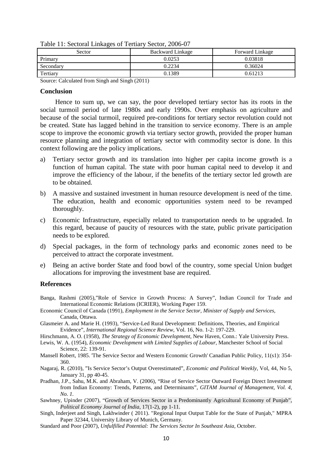| Sector    | <b>Backward Linkage</b> | <b>Forward Linkage</b> |
|-----------|-------------------------|------------------------|
| Primary   | 0.0253                  | 0.03818                |
| Secondary | 0.2234                  | 0.36024                |
| Tertiary  | 0.1389                  | 0.61213                |

Table 11: Sectoral Linkages of Tertiary Sector, 2006-07

Source: Calculated from Singh and Singh (2011)

#### **Conclusion**

Hence to sum up, we can say, the poor developed tertiary sector has its roots in the social turmoil period of late 1980s and early 1990s. Over emphasis on agriculture and because of the social turmoil, required pre-conditions for tertiary sector revolution could not be created. State has lagged behind in the transition to service economy. There is an ample scope to improve the economic growth via tertiary sector growth, provided the proper human resource planning and integration of tertiary sector with commodity sector is done. In this context following are the policy implications.

- a) Tertiary sector growth and its translation into higher per capita income growth is a function of human capital. The state with poor human capital need to develop it and improve the efficiency of the labour, if the benefits of the tertiary sector led growth are to be obtained.
- b) A massive and sustained investment in human resource development is need of the time. The education, health and economic opportunities system need to be revamped thoroughly.
- c) Economic Infrastructure, especially related to transportation needs to be upgraded. In this regard, because of paucity of resources with the state, public private participation needs to be explored.
- d) Special packages, in the form of technology parks and economic zones need to be perceived to attract the corporate investment.
- e) Being an active border State and food bowl of the country, some special Union budget allocations for improving the investment base are required.

#### **References**

- Banga, Rashmi (2005),"Role of Service in Growth Process: A Survey", Indian Council for Trade and International Economic Relations (ICRIER), Working Paper 159.
- Economic Council of Canada (1991), *Employment in the Service Sector, Minister of Supply and Services,* Canada, Ottawa.
- Glasmeier A. and Marie H. (1993), "Service-Led Rural Development: Definitions, Theories, and Empirical Evidence", *International Regional Science Review*, Vol. 16, No. 1-2: 197-229.
- Hirschmann, A. O. (1958), *The Strategy of Economic Development*, New Haven, Conn.: Yale University Press.
- Lewis, W. A. (1954), *Economic Development with Limited Supplies of Labour*, Manchester School of Social Science, 22: 139-91.
- Mansell Robert, 1985. 'The Service Sector and Western Economic Growth' Canadian Public Policy, 11(s1): 354- 360.
- Nagaraj, R. (2010), "Is Service Sector's Output Overestimated", *Economic and Political Weekly*, Vol, 44, No 5, January 31, pp 40-45.
- Pradhan, J.P., Sahu, M.K. and Abraham, V. (2006), "Rise of Service Sector Outward Foreign Direct Investment from Indian Economy: Trends, Patterns, and Determinants", *GITAM Journal of Management, Vol. 4, No. 1.*
- Sawhney, Upinder (2007), "Growth of Services Sector in a Predominantly Agricultural Economy of Punjab", *Political Economy Journal of India*, 17(1-2), pp 1-11.
- Singh, Inderjeet and Singh, Lakhwinder ( 2011). "Regional Input Output Table for the State of Punjab," MPRA Paper 32344, University Library of Munich, Germany.
- Standard and Poor (2007), *Unfulfilled Potential: The Services Sector In Southeast Asia*, October.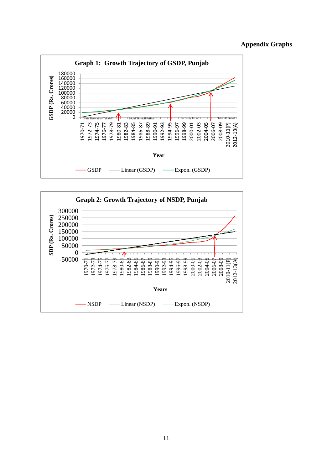## **Appendix Graphs**



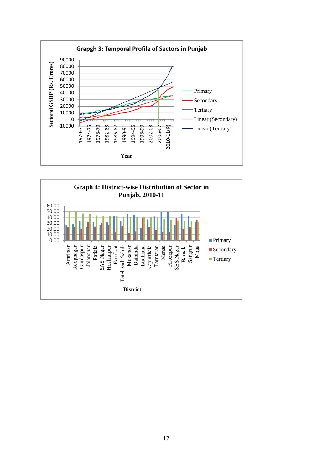